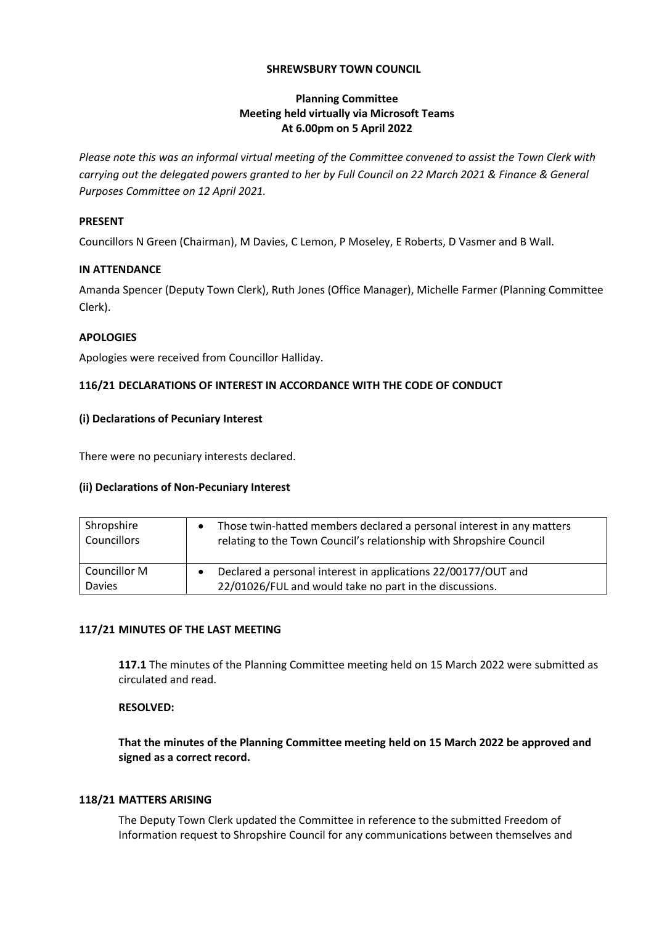## **SHREWSBURY TOWN COUNCIL**

# **Planning Committee Meeting held virtually via Microsoft Teams At 6.00pm on 5 April 2022**

*Please note this was an informal virtual meeting of the Committee convened to assist the Town Clerk with carrying out the delegated powers granted to her by Full Council on 22 March 2021 & Finance & General Purposes Committee on 12 April 2021.*

### **PRESENT**

Councillors N Green (Chairman), M Davies, C Lemon, P Moseley, E Roberts, D Vasmer and B Wall.

### **IN ATTENDANCE**

Amanda Spencer (Deputy Town Clerk), Ruth Jones (Office Manager), Michelle Farmer (Planning Committee Clerk).

# **APOLOGIES**

Apologies were received from Councillor Halliday.

# **116/21 DECLARATIONS OF INTEREST IN ACCORDANCE WITH THE CODE OF CONDUCT**

# **(i) Declarations of Pecuniary Interest**

There were no pecuniary interests declared.

# **(ii) Declarations of Non-Pecuniary Interest**

| Shropshire    | Those twin-hatted members declared a personal interest in any matters |
|---------------|-----------------------------------------------------------------------|
| Councillors   | relating to the Town Council's relationship with Shropshire Council   |
| Councillor M  | Declared a personal interest in applications 22/00177/OUT and         |
| <b>Davies</b> | 22/01026/FUL and would take no part in the discussions.               |

### **117/21 MINUTES OF THE LAST MEETING**

**117.1** The minutes of the Planning Committee meeting held on 15 March 2022 were submitted as circulated and read.

### **RESOLVED:**

**That the minutes of the Planning Committee meeting held on 15 March 2022 be approved and signed as a correct record.**

### **118/21 MATTERS ARISING**

The Deputy Town Clerk updated the Committee in reference to the submitted Freedom of Information request to Shropshire Council for any communications between themselves and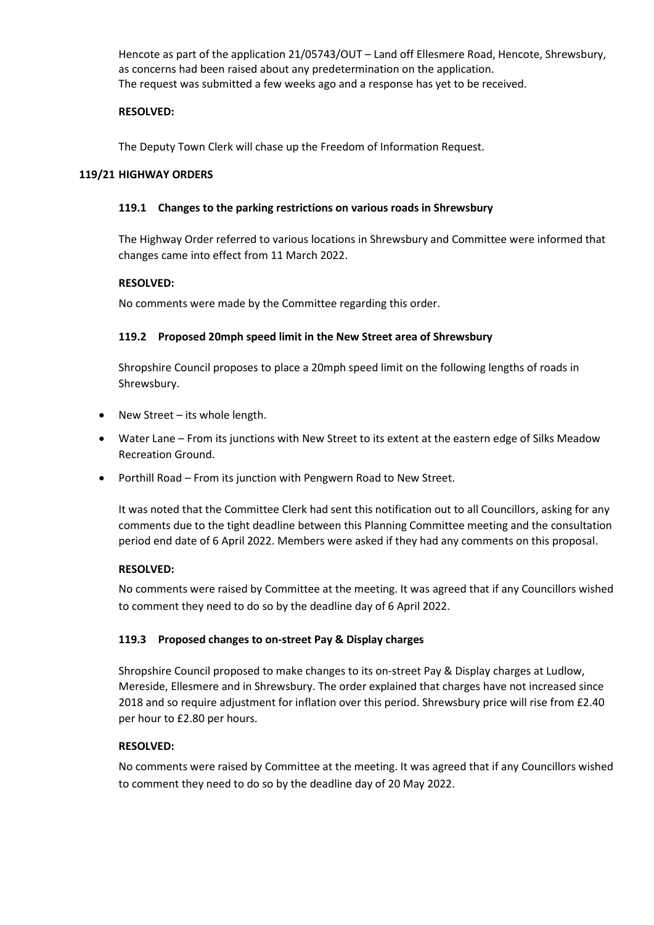Hencote as part of the application 21/05743/OUT – Land off Ellesmere Road, Hencote, Shrewsbury, as concerns had been raised about any predetermination on the application. The request was submitted a few weeks ago and a response has yet to be received.

# **RESOLVED:**

The Deputy Town Clerk will chase up the Freedom of Information Request.

### **119/21 HIGHWAY ORDERS**

### **119.1 Changes to the parking restrictions on various roads in Shrewsbury**

The Highway Order referred to various locations in Shrewsbury and Committee were informed that changes came into effect from 11 March 2022.

# **RESOLVED:**

No comments were made by the Committee regarding this order.

# **119.2 Proposed 20mph speed limit in the New Street area of Shrewsbury**

Shropshire Council proposes to place a 20mph speed limit on the following lengths of roads in Shrewsbury.

- New Street its whole length.
- Water Lane From its junctions with New Street to its extent at the eastern edge of Silks Meadow Recreation Ground.
- Porthill Road From its junction with Pengwern Road to New Street.

It was noted that the Committee Clerk had sent this notification out to all Councillors, asking for any comments due to the tight deadline between this Planning Committee meeting and the consultation period end date of 6 April 2022. Members were asked if they had any comments on this proposal.

### **RESOLVED:**

No comments were raised by Committee at the meeting. It was agreed that if any Councillors wished to comment they need to do so by the deadline day of 6 April 2022.

### **119.3 Proposed changes to on-street Pay & Display charges**

Shropshire Council proposed to make changes to its on-street Pay & Display charges at Ludlow, Mereside, Ellesmere and in Shrewsbury. The order explained that charges have not increased since 2018 and so require adjustment for inflation over this period. Shrewsbury price will rise from £2.40 per hour to £2.80 per hours.

### **RESOLVED:**

No comments were raised by Committee at the meeting. It was agreed that if any Councillors wished to comment they need to do so by the deadline day of 20 May 2022.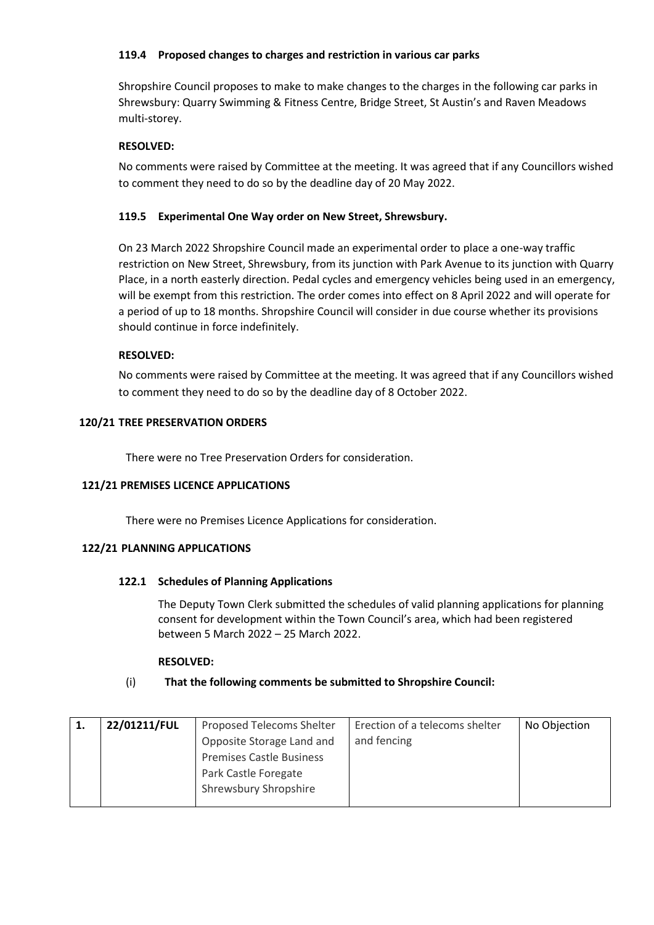# **119.4 Proposed changes to charges and restriction in various car parks**

Shropshire Council proposes to make to make changes to the charges in the following car parks in Shrewsbury: Quarry Swimming & Fitness Centre, Bridge Street, St Austin's and Raven Meadows multi-storey.

# **RESOLVED:**

No comments were raised by Committee at the meeting. It was agreed that if any Councillors wished to comment they need to do so by the deadline day of 20 May 2022.

# **119.5 Experimental One Way order on New Street, Shrewsbury.**

On 23 March 2022 Shropshire Council made an experimental order to place a one-way traffic restriction on New Street, Shrewsbury, from its junction with Park Avenue to its junction with Quarry Place, in a north easterly direction. Pedal cycles and emergency vehicles being used in an emergency, will be exempt from this restriction. The order comes into effect on 8 April 2022 and will operate for a period of up to 18 months. Shropshire Council will consider in due course whether its provisions should continue in force indefinitely.

# **RESOLVED:**

No comments were raised by Committee at the meeting. It was agreed that if any Councillors wished to comment they need to do so by the deadline day of 8 October 2022.

# **120/21 TREE PRESERVATION ORDERS**

There were no Tree Preservation Orders for consideration.

### **121/21 PREMISES LICENCE APPLICATIONS**

There were no Premises Licence Applications for consideration.

### **122/21 PLANNING APPLICATIONS**

### **122.1 Schedules of Planning Applications**

The Deputy Town Clerk submitted the schedules of valid planning applications for planning consent for development within the Town Council's area, which had been registered between 5 March 2022 – 25 March 2022.

### **RESOLVED:**

# (i) **That the following comments be submitted to Shropshire Council:**

| 22/01211/FUL | <b>Proposed Telecoms Shelter</b> | Erection of a telecoms shelter | No Objection |
|--------------|----------------------------------|--------------------------------|--------------|
|              | Opposite Storage Land and        | and fencing                    |              |
|              | <b>Premises Castle Business</b>  |                                |              |
|              | Park Castle Foregate             |                                |              |
|              | Shrewsbury Shropshire            |                                |              |
|              |                                  |                                |              |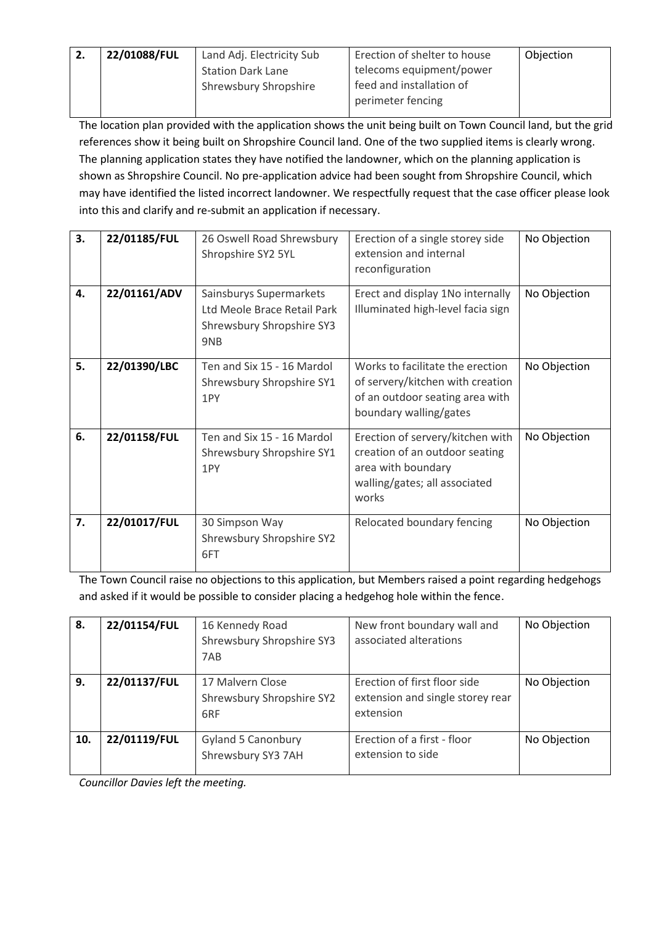| -2. | 22/01088/FUL | Land Adj. Electricity Sub    | Erection of shelter to house | Objection |
|-----|--------------|------------------------------|------------------------------|-----------|
|     |              | <b>Station Dark Lane</b>     | telecoms equipment/power     |           |
|     |              | <b>Shrewsbury Shropshire</b> | feed and installation of     |           |
|     |              |                              | perimeter fencing            |           |

The location plan provided with the application shows the unit being built on Town Council land, but the grid references show it being built on Shropshire Council land. One of the two supplied items is clearly wrong. The planning application states they have notified the landowner, which on the planning application is shown as Shropshire Council. No pre-application advice had been sought from Shropshire Council, which may have identified the listed incorrect landowner. We respectfully request that the case officer please look into this and clarify and re-submit an application if necessary.

| 3. | 22/01185/FUL | 26 Oswell Road Shrewsbury<br>Shropshire SY2 5YL                                            | Erection of a single storey side<br>extension and internal<br>reconfiguration                                                      | No Objection |
|----|--------------|--------------------------------------------------------------------------------------------|------------------------------------------------------------------------------------------------------------------------------------|--------------|
| 4. | 22/01161/ADV | Sainsburys Supermarkets<br>Ltd Meole Brace Retail Park<br>Shrewsbury Shropshire SY3<br>9NB | Erect and display 1No internally<br>Illuminated high-level facia sign                                                              | No Objection |
| 5. | 22/01390/LBC | Ten and Six 15 - 16 Mardol<br>Shrewsbury Shropshire SY1<br>1PY                             | Works to facilitate the erection<br>of servery/kitchen with creation<br>of an outdoor seating area with<br>boundary walling/gates  | No Objection |
| 6. | 22/01158/FUL | Ten and Six 15 - 16 Mardol<br>Shrewsbury Shropshire SY1<br>1PY                             | Erection of servery/kitchen with<br>creation of an outdoor seating<br>area with boundary<br>walling/gates; all associated<br>works | No Objection |
| 7. | 22/01017/FUL | 30 Simpson Way<br>Shrewsbury Shropshire SY2<br>6FT                                         | Relocated boundary fencing                                                                                                         | No Objection |

The Town Council raise no objections to this application, but Members raised a point regarding hedgehogs and asked if it would be possible to consider placing a hedgehog hole within the fence.

| 8.  | 22/01154/FUL | 16 Kennedy Road<br>Shrewsbury Shropshire SY3<br>7AB  | New front boundary wall and<br>associated alterations                         | No Objection |
|-----|--------------|------------------------------------------------------|-------------------------------------------------------------------------------|--------------|
| 9.  | 22/01137/FUL | 17 Malvern Close<br>Shrewsbury Shropshire SY2<br>6RF | Erection of first floor side<br>extension and single storey rear<br>extension | No Objection |
| 10. | 22/01119/FUL | <b>Gyland 5 Canonbury</b><br>Shrewsbury SY3 7AH      | Erection of a first - floor<br>extension to side                              | No Objection |

*Councillor Davies left the meeting.*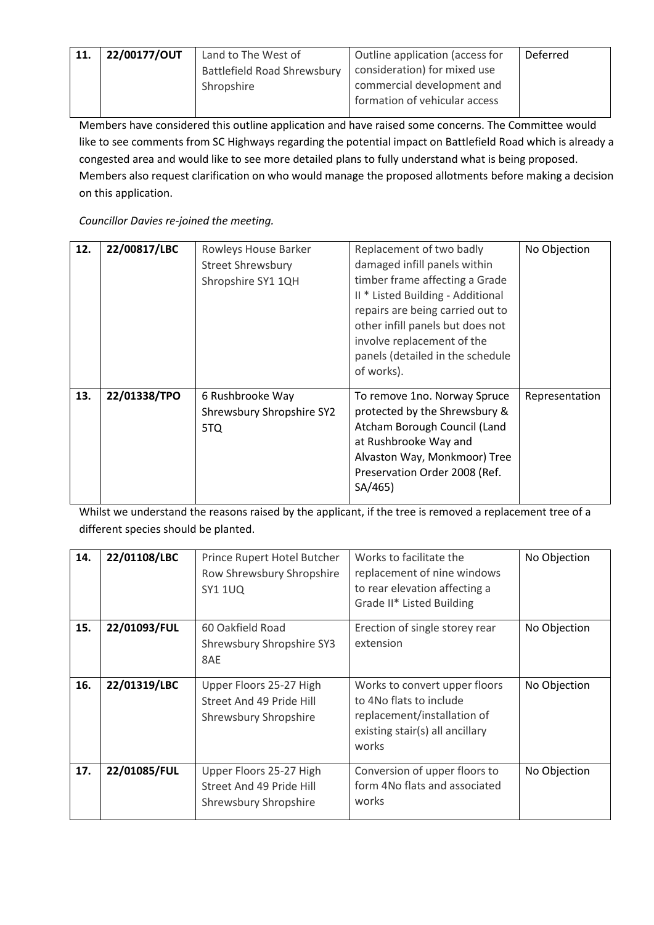| 11. | 22/00177/OUT | Land to The West of                | Outline application (access for | Deferred |
|-----|--------------|------------------------------------|---------------------------------|----------|
|     |              | <b>Battlefield Road Shrewsbury</b> | consideration) for mixed use    |          |
|     |              | Shropshire                         | commercial development and      |          |
|     |              |                                    | formation of vehicular access   |          |

Members have considered this outline application and have raised some concerns. The Committee would like to see comments from SC Highways regarding the potential impact on Battlefield Road which is already a congested area and would like to see more detailed plans to fully understand what is being proposed. Members also request clarification on who would manage the proposed allotments before making a decision on this application.

*Councillor Davies re-joined the meeting.*

| 12. | 22/00817/LBC | Rowleys House Barker<br><b>Street Shrewsbury</b><br>Shropshire SY1 1QH | Replacement of two badly<br>damaged infill panels within<br>timber frame affecting a Grade<br>II * Listed Building - Additional<br>repairs are being carried out to<br>other infill panels but does not<br>involve replacement of the<br>panels (detailed in the schedule<br>of works). | No Objection   |
|-----|--------------|------------------------------------------------------------------------|-----------------------------------------------------------------------------------------------------------------------------------------------------------------------------------------------------------------------------------------------------------------------------------------|----------------|
| 13. | 22/01338/TPO | 6 Rushbrooke Way<br>Shrewsbury Shropshire SY2<br>5TQ                   | To remove 1no. Norway Spruce<br>protected by the Shrewsbury &<br>Atcham Borough Council (Land<br>at Rushbrooke Way and<br>Alvaston Way, Monkmoor) Tree<br>Preservation Order 2008 (Ref.<br>SA/465)                                                                                      | Representation |

Whilst we understand the reasons raised by the applicant, if the tree is removed a replacement tree of a different species should be planted.

| 14. | 22/01108/LBC | Prince Rupert Hotel Butcher<br>Row Shrewsbury Shropshire<br><b>SY1 1UQ</b>   | Works to facilitate the<br>replacement of nine windows<br>to rear elevation affecting a<br>Grade II* Listed Building                | No Objection |
|-----|--------------|------------------------------------------------------------------------------|-------------------------------------------------------------------------------------------------------------------------------------|--------------|
| 15. | 22/01093/FUL | 60 Oakfield Road<br>Shrewsbury Shropshire SY3<br>8AE                         | Erection of single storey rear<br>extension                                                                                         | No Objection |
| 16. | 22/01319/LBC | Upper Floors 25-27 High<br>Street And 49 Pride Hill<br>Shrewsbury Shropshire | Works to convert upper floors<br>to 4No flats to include<br>replacement/installation of<br>existing stair(s) all ancillary<br>works | No Objection |
| 17. | 22/01085/FUL | Upper Floors 25-27 High<br>Street And 49 Pride Hill<br>Shrewsbury Shropshire | Conversion of upper floors to<br>form 4No flats and associated<br>works                                                             | No Objection |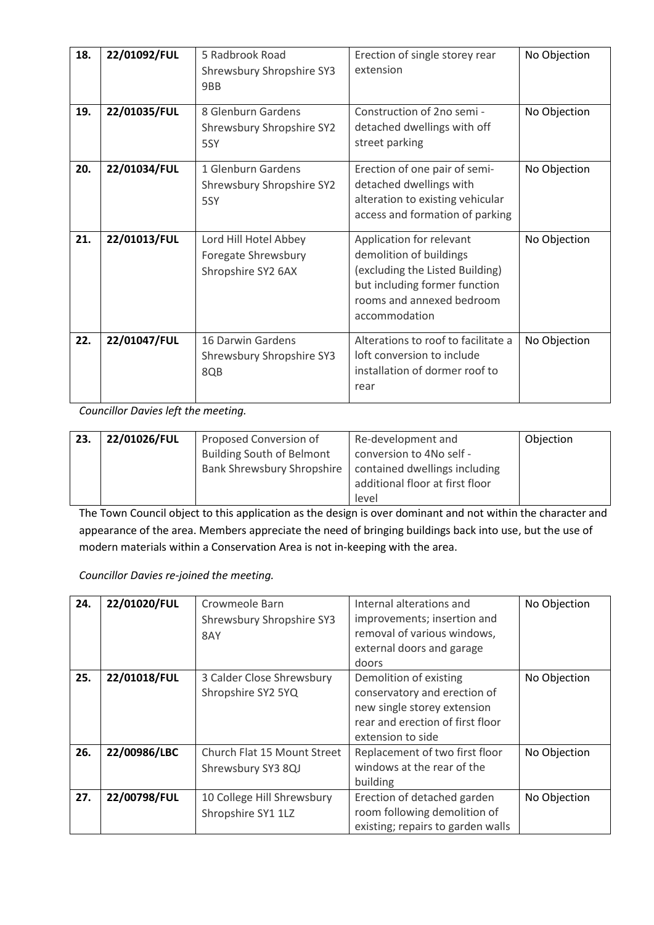| 18. | 22/01092/FUL | 5 Radbrook Road<br>Shrewsbury Shropshire SY3<br>9BB                | Erection of single storey rear<br>extension                                                                                                                           | No Objection |
|-----|--------------|--------------------------------------------------------------------|-----------------------------------------------------------------------------------------------------------------------------------------------------------------------|--------------|
| 19. | 22/01035/FUL | 8 Glenburn Gardens<br>Shrewsbury Shropshire SY2<br>5SY             | Construction of 2no semi -<br>detached dwellings with off<br>street parking                                                                                           | No Objection |
| 20. | 22/01034/FUL | 1 Glenburn Gardens<br>Shrewsbury Shropshire SY2<br>5SY             | Erection of one pair of semi-<br>detached dwellings with<br>alteration to existing vehicular<br>access and formation of parking                                       | No Objection |
| 21. | 22/01013/FUL | Lord Hill Hotel Abbey<br>Foregate Shrewsbury<br>Shropshire SY2 6AX | Application for relevant<br>demolition of buildings<br>(excluding the Listed Building)<br>but including former function<br>rooms and annexed bedroom<br>accommodation | No Objection |
| 22. | 22/01047/FUL | 16 Darwin Gardens<br>Shrewsbury Shropshire SY3<br>8QB              | Alterations to roof to facilitate a<br>loft conversion to include<br>installation of dormer roof to<br>rear                                                           | No Objection |

*Councillor Davies left the meeting.*

| 23. | 22/01026/FUL | Proposed Conversion of           | Re-development and              | Objection |
|-----|--------------|----------------------------------|---------------------------------|-----------|
|     |              | <b>Building South of Belmont</b> | conversion to 4No self -        |           |
|     |              | Bank Shrewsbury Shropshire       | contained dwellings including   |           |
|     |              |                                  | additional floor at first floor |           |
|     |              |                                  | level                           |           |

The Town Council object to this application as the design is over dominant and not within the character and appearance of the area. Members appreciate the need of bringing buildings back into use, but the use of modern materials within a Conservation Area is not in-keeping with the area.

*Councillor Davies re-joined the meeting.*

| 24. | 22/01020/FUL | Crowmeole Barn<br>Shrewsbury Shropshire SY3<br>8AY | Internal alterations and<br>improvements; insertion and<br>removal of various windows,<br>external doors and garage<br>doors                   | No Objection |
|-----|--------------|----------------------------------------------------|------------------------------------------------------------------------------------------------------------------------------------------------|--------------|
| 25. | 22/01018/FUL | 3 Calder Close Shrewsbury<br>Shropshire SY2 5YQ    | Demolition of existing<br>conservatory and erection of<br>new single storey extension<br>rear and erection of first floor<br>extension to side | No Objection |
| 26. | 22/00986/LBC | Church Flat 15 Mount Street<br>Shrewsbury SY3 8QJ  | Replacement of two first floor<br>windows at the rear of the<br>building                                                                       | No Objection |
| 27. | 22/00798/FUL | 10 College Hill Shrewsbury<br>Shropshire SY1 1LZ   | Erection of detached garden<br>room following demolition of<br>existing; repairs to garden walls                                               | No Objection |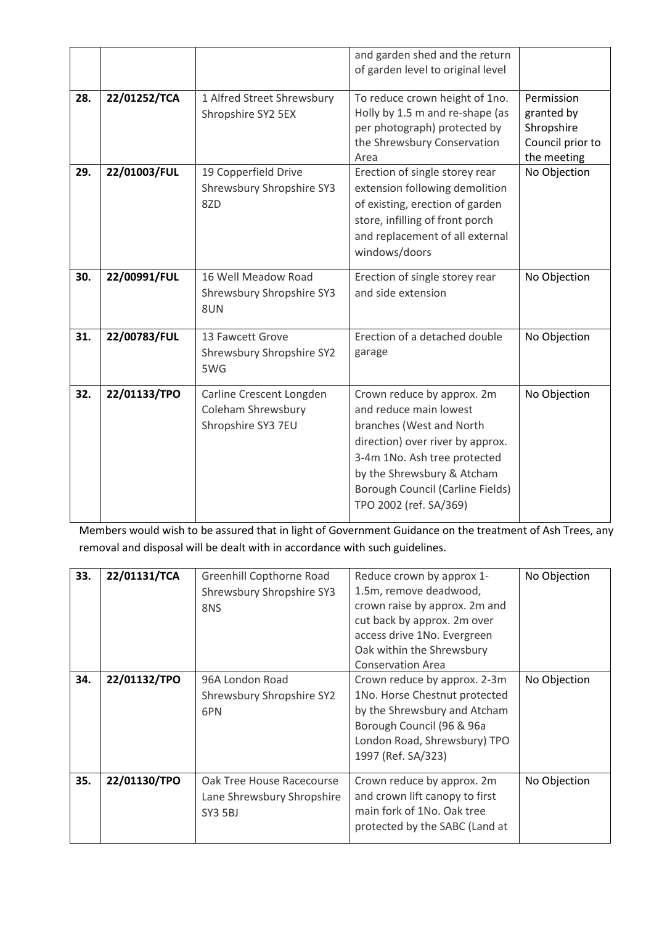|     |              |                                                                      | and garden shed and the return<br>of garden level to original level                                                                                                                                                                              |                                                                           |
|-----|--------------|----------------------------------------------------------------------|--------------------------------------------------------------------------------------------------------------------------------------------------------------------------------------------------------------------------------------------------|---------------------------------------------------------------------------|
| 28. | 22/01252/TCA | 1 Alfred Street Shrewsbury<br>Shropshire SY2 5EX                     | To reduce crown height of 1no.<br>Holly by 1.5 m and re-shape (as<br>per photograph) protected by<br>the Shrewsbury Conservation<br>Area                                                                                                         | Permission<br>granted by<br>Shropshire<br>Council prior to<br>the meeting |
| 29. | 22/01003/FUL | 19 Copperfield Drive<br>Shrewsbury Shropshire SY3<br>8ZD             | Erection of single storey rear<br>extension following demolition<br>of existing, erection of garden<br>store, infilling of front porch<br>and replacement of all external<br>windows/doors                                                       | No Objection                                                              |
| 30. | 22/00991/FUL | 16 Well Meadow Road<br>Shrewsbury Shropshire SY3<br>8UN              | Erection of single storey rear<br>and side extension                                                                                                                                                                                             | No Objection                                                              |
| 31. | 22/00783/FUL | 13 Fawcett Grove<br>Shrewsbury Shropshire SY2<br>5WG                 | Erection of a detached double<br>garage                                                                                                                                                                                                          | No Objection                                                              |
| 32. | 22/01133/TPO | Carline Crescent Longden<br>Coleham Shrewsbury<br>Shropshire SY3 7EU | Crown reduce by approx. 2m<br>and reduce main lowest<br>branches (West and North<br>direction) over river by approx.<br>3-4m 1No. Ash tree protected<br>by the Shrewsbury & Atcham<br>Borough Council (Carline Fields)<br>TPO 2002 (ref. SA/369) | No Objection                                                              |

Members would wish to be assured that in light of Government Guidance on the treatment of Ash Trees, any removal and disposal will be dealt with in accordance with such guidelines.

| 33. | 22/01131/TCA | Greenhill Copthorne Road<br>Shrewsbury Shropshire SY3<br>8NS       | Reduce crown by approx 1-<br>1.5m, remove deadwood,<br>crown raise by approx. 2m and<br>cut back by approx. 2m over<br>access drive 1No. Evergreen<br>Oak within the Shrewsbury<br><b>Conservation Area</b> | No Objection |
|-----|--------------|--------------------------------------------------------------------|-------------------------------------------------------------------------------------------------------------------------------------------------------------------------------------------------------------|--------------|
| 34. | 22/01132/TPO | 96A London Road<br>Shrewsbury Shropshire SY2<br>6PN                | Crown reduce by approx. 2-3m<br>1No. Horse Chestnut protected<br>by the Shrewsbury and Atcham<br>Borough Council (96 & 96a<br>London Road, Shrewsbury) TPO<br>1997 (Ref. SA/323)                            | No Objection |
| 35. | 22/01130/TPO | Oak Tree House Racecourse<br>Lane Shrewsbury Shropshire<br>SY3 5BJ | Crown reduce by approx. 2m<br>and crown lift canopy to first<br>main fork of 1No. Oak tree<br>protected by the SABC (Land at                                                                                | No Objection |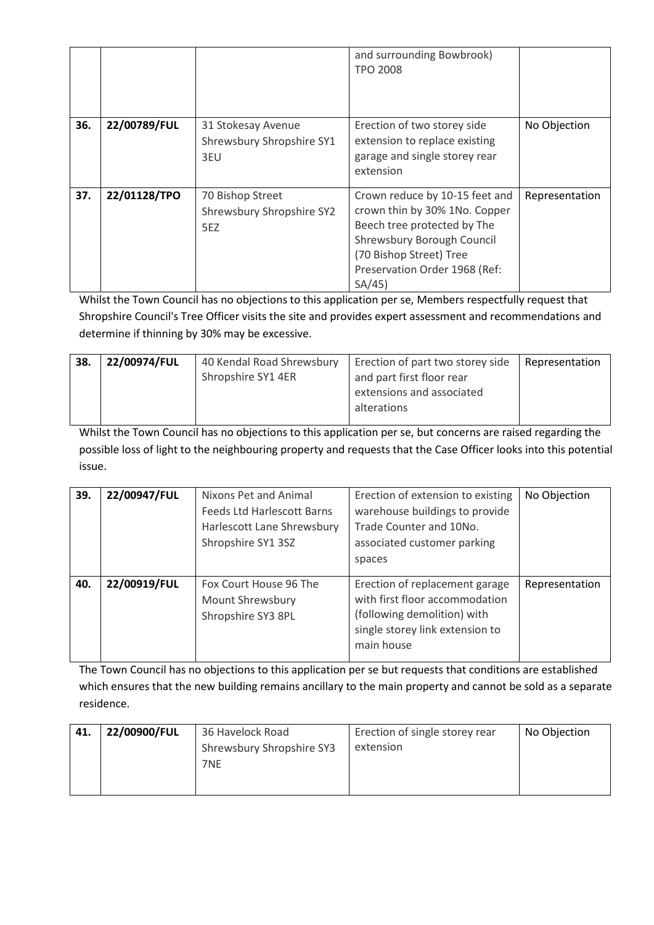|     |              |                                                        | and surrounding Bowbrook)<br><b>TPO 2008</b>                                                                                                                                                       |                |
|-----|--------------|--------------------------------------------------------|----------------------------------------------------------------------------------------------------------------------------------------------------------------------------------------------------|----------------|
| 36. | 22/00789/FUL | 31 Stokesay Avenue<br>Shrewsbury Shropshire SY1<br>3EU | Erection of two storey side<br>extension to replace existing<br>garage and single storey rear<br>extension                                                                                         | No Objection   |
| 37. | 22/01128/TPO | 70 Bishop Street<br>Shrewsbury Shropshire SY2<br>5EZ   | Crown reduce by 10-15 feet and<br>crown thin by 30% 1No. Copper<br>Beech tree protected by The<br>Shrewsbury Borough Council<br>(70 Bishop Street) Tree<br>Preservation Order 1968 (Ref:<br>SA/45) | Representation |

Whilst the Town Council has no objections to this application per se, Members respectfully request that Shropshire Council's Tree Officer visits the site and provides expert assessment and recommendations and determine if thinning by 30% may be excessive.

| 38. | 22/00974/FUL | 40 Kendal Road Shrewsbury | Erection of part two storey side | l Representation |
|-----|--------------|---------------------------|----------------------------------|------------------|
|     |              | Shropshire SY1 4ER        | and part first floor rear        |                  |
|     |              |                           | extensions and associated        |                  |
|     |              |                           | alterations                      |                  |
|     |              |                           |                                  |                  |

Whilst the Town Council has no objections to this application per se, but concerns are raised regarding the possible loss of light to the neighbouring property and requests that the Case Officer looks into this potential issue.

| 39. | 22/00947/FUL | Nixons Pet and Animal<br><b>Feeds Ltd Harlescott Barns</b><br>Harlescott Lane Shrewsbury<br>Shropshire SY1 3SZ | Erection of extension to existing<br>warehouse buildings to provide<br>Trade Counter and 10No.<br>associated customer parking<br>spaces          | No Objection   |
|-----|--------------|----------------------------------------------------------------------------------------------------------------|--------------------------------------------------------------------------------------------------------------------------------------------------|----------------|
| 40. | 22/00919/FUL | Fox Court House 96 The<br>Mount Shrewsbury<br>Shropshire SY3 8PL                                               | Erection of replacement garage<br>with first floor accommodation<br>(following demolition) with<br>single storey link extension to<br>main house | Representation |

The Town Council has no objections to this application per se but requests that conditions are established which ensures that the new building remains ancillary to the main property and cannot be sold as a separate residence.

| 41. | 22/00900/FUL | 36 Havelock Road          | Erection of single storey rear | No Objection |
|-----|--------------|---------------------------|--------------------------------|--------------|
|     |              | Shrewsbury Shropshire SY3 | extension                      |              |
|     |              | 7NE                       |                                |              |
|     |              |                           |                                |              |
|     |              |                           |                                |              |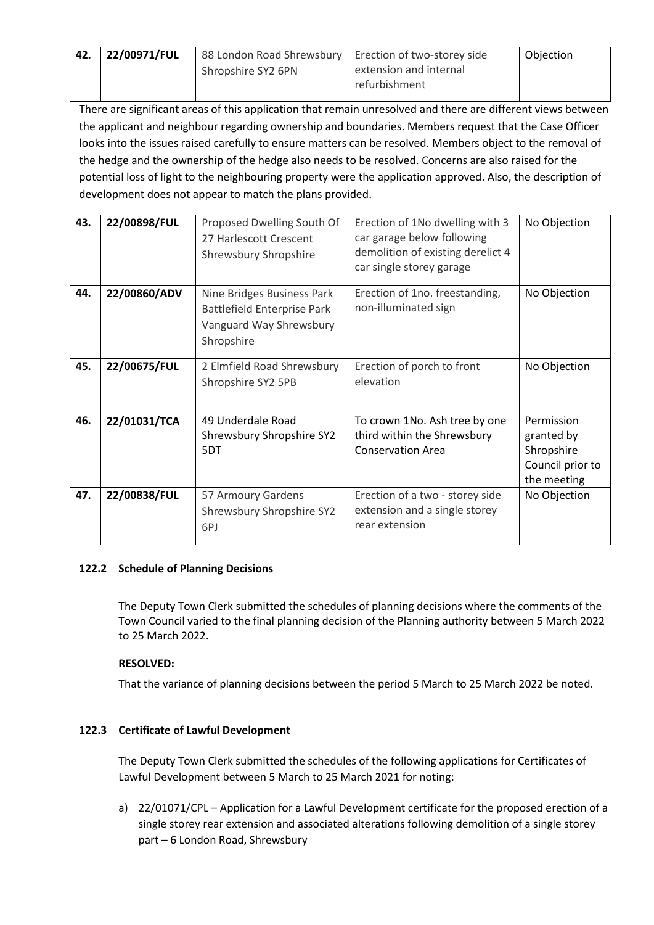| 42. | 22/00971/FUL | 88 London Road Shrewsbury   Erection of two-storey side |                                         | Objection |
|-----|--------------|---------------------------------------------------------|-----------------------------------------|-----------|
|     |              | Shropshire SY2 6PN                                      | extension and internal<br>refurbishment |           |
|     |              |                                                         |                                         |           |

There are significant areas of this application that remain unresolved and there are different views between the applicant and neighbour regarding ownership and boundaries. Members request that the Case Officer looks into the issues raised carefully to ensure matters can be resolved. Members object to the removal of the hedge and the ownership of the hedge also needs to be resolved. Concerns are also raised for the potential loss of light to the neighbouring property were the application approved. Also, the description of development does not appear to match the plans provided.

| 43. | 22/00898/FUL | Proposed Dwelling South Of<br>27 Harlescott Crescent<br>Shrewsbury Shropshire                             | Erection of 1No dwelling with 3<br>car garage below following<br>demolition of existing derelict 4<br>car single storey garage | No Objection                                                              |
|-----|--------------|-----------------------------------------------------------------------------------------------------------|--------------------------------------------------------------------------------------------------------------------------------|---------------------------------------------------------------------------|
| 44. | 22/00860/ADV | Nine Bridges Business Park<br><b>Battlefield Enterprise Park</b><br>Vanguard Way Shrewsbury<br>Shropshire | Erection of 1no. freestanding,<br>non-illuminated sign                                                                         | No Objection                                                              |
| 45. | 22/00675/FUL | 2 Elmfield Road Shrewsbury<br>Shropshire SY2 5PB                                                          | Erection of porch to front<br>elevation                                                                                        | No Objection                                                              |
| 46. | 22/01031/TCA | 49 Underdale Road<br>Shrewsbury Shropshire SY2<br>5DT                                                     | To crown 1No. Ash tree by one<br>third within the Shrewsbury<br><b>Conservation Area</b>                                       | Permission<br>granted by<br>Shropshire<br>Council prior to<br>the meeting |
| 47. | 22/00838/FUL | 57 Armoury Gardens<br>Shrewsbury Shropshire SY2<br>6PJ                                                    | Erection of a two - storey side<br>extension and a single storey<br>rear extension                                             | No Objection                                                              |

### **122.2 Schedule of Planning Decisions**

The Deputy Town Clerk submitted the schedules of planning decisions where the comments of the Town Council varied to the final planning decision of the Planning authority between 5 March 2022 to 25 March 2022.

# **RESOLVED:**

That the variance of planning decisions between the period 5 March to 25 March 2022 be noted.

# **122.3 Certificate of Lawful Development**

The Deputy Town Clerk submitted the schedules of the following applications for Certificates of Lawful Development between 5 March to 25 March 2021 for noting:

a) 22/01071/CPL – Application for a Lawful Development certificate for the proposed erection of a single storey rear extension and associated alterations following demolition of a single storey part – 6 London Road, Shrewsbury